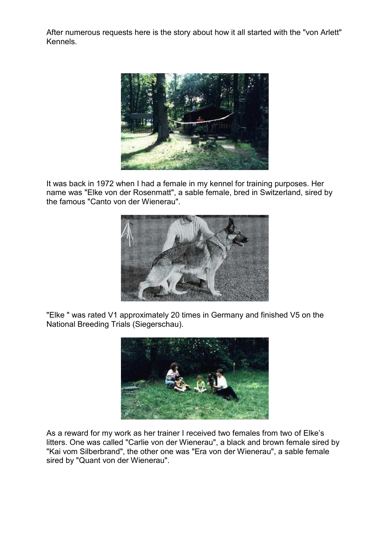After numerous requests here is the story about how it all started with the "von Arlett" Kennels.



It was back in 1972 when I had a female in my kennel for training purposes. Her name was "Elke von der Rosenmatt", a sable female, bred in Switzerland, sired by the famous "Canto von der Wienerau".



"Elke " was rated V1 approximately 20 times in Germany and finished V5 on the National Breeding Trials (Siegerschau).



As a reward for my work as her trainer I received two females from two of Elke's litters. One was called "Carlie von der Wienerau", a black and brown female sired by "Kai vom Silberbrand", the other one was "Era von der Wienerau", a sable female sired by "Quant von der Wienerau".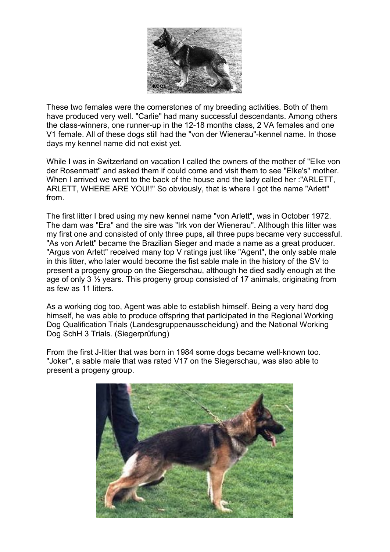

These two females were the cornerstones of my breeding activities. Both of them have produced very well. "Carlie" had many successful descendants. Among others the class-winners, one runner-up in the 12-18 months class, 2 VA females and one V1 female. All of these dogs still had the "von der Wienerau"-kennel name. In those days my kennel name did not exist yet.

While I was in Switzerland on vacation I called the owners of the mother of "Elke von der Rosenmatt" and asked them if could come and visit them to see "Elke's" mother. When I arrived we went to the back of the house and the lady called her :"ARLETT, ARLETT, WHERE ARE YOU!!" So obviously, that is where I got the name "Arlett" from.

The first litter I bred using my new kennel name "von Arlett", was in October 1972. The dam was "Era" and the sire was "Irk von der Wienerau". Although this litter was my first one and consisted of only three pups, all three pups became very successful. "As von Arlett" became the Brazilian Sieger and made a name as a great producer. "Argus von Arlett" received many top V ratings just like "Agent", the only sable male in this litter, who later would become the fist sable male in the history of the SV to present a progeny group on the Siegerschau, although he died sadly enough at the age of only 3 ½ years. This progeny group consisted of 17 animals, originating from as few as 11 litters.

As a working dog too, Agent was able to establish himself. Being a very hard dog himself, he was able to produce offspring that participated in the Regional Working Dog Qualification Trials (Landesgruppenausscheidung) and the National Working Dog SchH 3 Trials. (Siegerprüfung)

From the first J-litter that was born in 1984 some dogs became well-known too. "Joker", a sable male that was rated V17 on the Siegerschau, was also able to present a progeny group.

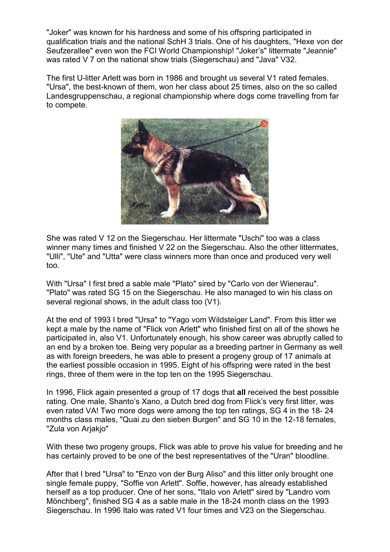"Joker" was known for his hardness and some of his offspring participated in qualification trials and the national SchH 3 trials. One of his daughters, "Hexe von der Seufzerallee" even won the FCI World Championship! "Joker's" littermate "Jeannie" was rated V 7 on the national show trials (Siegerschau) and "Java" V32.

The first U-litter Arlett was born in 1986 and brought us several V1 rated females. "Ursa", the best-known of them, won her class about 25 times, also on the so called Landesgruppenschau, a regional championship where dogs come travelling from far to compete.



She was rated V 12 on the Siegerschau. Her littermate "Uschi" too was a class winner many times and finished V 22 on the Siegerschau. Also the other littermates, "Ulli", "Ute" and "Utta" were class winners more than once and produced very well too.

With "Ursa" I first bred a sable male "Plato" sired by "Carlo von der Wienerau". "Plato" was rated SG 15 on the Siegerschau. He also managed to win his class on several regional shows, in the adult class too (V1).

At the end of 1993 I bred "Ursa" to "Yago vom Wildsteiger Land". From this litter we kept a male by the name of "Flick von Arlett" who finished first on all of the shows he participated in, also V1. Unfortunately enough, his show career was abruptly called to an end by a broken toe. Being very popular as a breeding partner in Germany as well as with foreign breeders, he was able to present a progeny group of 17 animals at the earliest possible occasion in 1995. Eight of his offspring were rated in the best rings, three of them were in the top ten on the 1995 Siegerschau.

In 1996, Flick again presented a group of 17 dogs that **all** received the best possible rating. One male, Shanto's Xano, a Dutch bred dog from Flick's very first litter, was even rated VA! Two more dogs were among the top ten ratings, SG 4 in the 18- 24 months class males, "Quai zu den sieben Burgen" and SG 10 in the 12-18 females, "Zula von Arjakjo"

With these two progeny groups, Flick was able to prove his value for breeding and he has certainly proved to be one of the best representatives of the "Uran" bloodline.

After that I bred "Ursa" to "Enzo von der Burg Aliso" and this litter only brought one single female puppy, "Soffie von Arlett". Soffie, however, has already established herself as a top producer. One of her sons, "Italo von Arlett" sired by "Landro vom Mönchberg", finished SG 4 as a sable male in the 18-24 month class on the 1993 Siegerschau. In 1996 Italo was rated V1 four times and V23 on the Siegerschau.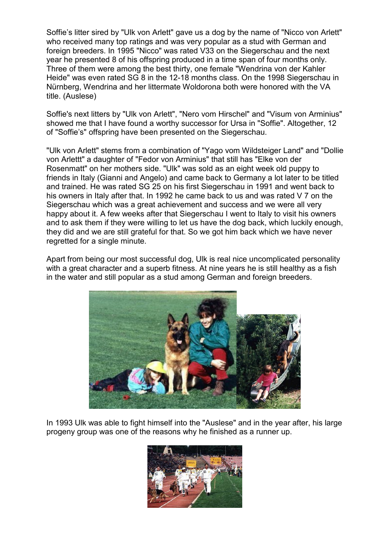Soffie's litter sired by "Ulk von Arlett" gave us a dog by the name of "Nicco von Arlett" who received many top ratings and was very popular as a stud with German and foreign breeders. In 1995 "Nicco" was rated V33 on the Siegerschau and the next year he presented 8 of his offspring produced in a time span of four months only. Three of them were among the best thirty, one female "Wendrina von der Kahler Heide" was even rated SG 8 in the 12-18 months class. On the 1998 Siegerschau in Nürnberg, Wendrina and her littermate Woldorona both were honored with the VA title. (Auslese)

Soffie's next litters by "Ulk von Arlett", "Nero vom Hirschel" and "Visum von Arminius" showed me that I have found a worthy successor for Ursa in "Soffie". Altogether, 12 of "Soffie's" offspring have been presented on the Siegerschau.

"Ulk von Arlett" stems from a combination of "Yago vom Wildsteiger Land" and "Dollie von Arlettt" a daughter of "Fedor von Arminius" that still has "Elke von der Rosenmatt" on her mothers side. "Ulk" was sold as an eight week old puppy to friends in Italy (Gianni and Angelo) and came back to Germany a lot later to be titled and trained. He was rated SG 25 on his first Siegerschau in 1991 and went back to his owners in Italy after that. In 1992 he came back to us and was rated V 7 on the Siegerschau which was a great achievement and success and we were all very happy about it. A few weeks after that Siegerschau I went to Italy to visit his owners and to ask them if they were willing to let us have the dog back, which luckily enough, they did and we are still grateful for that. So we got him back which we have never regretted for a single minute.

Apart from being our most successful dog, Ulk is real nice uncomplicated personality with a great character and a superb fitness. At nine years he is still healthy as a fish in the water and still popular as a stud among German and foreign breeders.



In 1993 Ulk was able to fight himself into the "Auslese" and in the year after, his large progeny group was one of the reasons why he finished as a runner up.

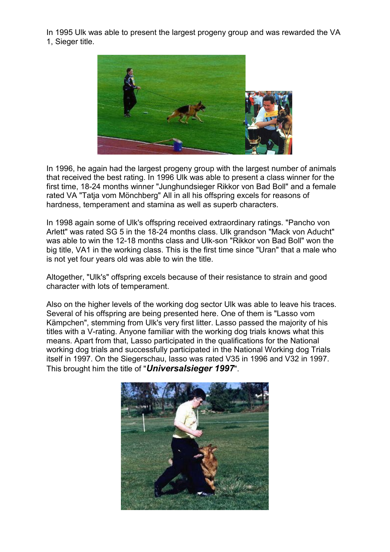In 1995 Ulk was able to present the largest progeny group and was rewarded the VA 1, Sieger title.



In 1996, he again had the largest progeny group with the largest number of animals that received the best rating. In 1996 Ulk was able to present a class winner for the first time, 18-24 months winner "Junghundsieger Rikkor von Bad Boll" and a female rated VA "Tatja vom Mönchberg" All in all his offspring excels for reasons of hardness, temperament and stamina as well as superb characters.

In 1998 again some of Ulk's offspring received extraordinary ratings. "Pancho von Arlett" was rated SG 5 in the 18-24 months class. Ulk grandson "Mack von Aducht" was able to win the 12-18 months class and Ulk-son "Rikkor von Bad Boll" won the big title, VA1 in the working class. This is the first time since "Uran" that a male who is not yet four years old was able to win the title.

Altogether, "Ulk's" offspring excels because of their resistance to strain and good character with lots of temperament.

Also on the higher levels of the working dog sector Ulk was able to leave his traces. Several of his offspring are being presented here. One of them is "Lasso vom Kämpchen", stemming from Ulk's very first litter. Lasso passed the majority of his titles with a V-rating. Anyone familiar with the working dog trials knows what this means. Apart from that, Lasso participated in the qualifications for the National working dog trials and successfully participated in the National Working dog Trials itself in 1997. On the Siegerschau, lasso was rated V35 in 1996 and V32 in 1997. This brought him the title of "*Universalsieger 1997*".

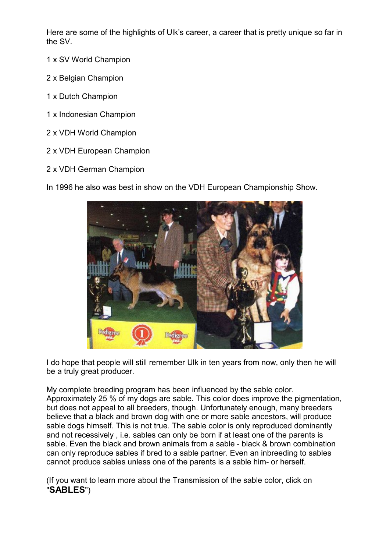Here are some of the highlights of Ulk's career, a career that is pretty unique so far in the SV.

- 1 x SV World Champion
- 2 x Belgian Champion
- 1 x Dutch Champion
- 1 x Indonesian Champion
- 2 x VDH World Champion
- 2 x VDH European Champion
- 2 x VDH German Champion

In 1996 he also was best in show on the VDH European Championship Show.



I do hope that people will still remember Ulk in ten years from now, only then he will be a truly great producer.

My complete breeding program has been influenced by the sable color. Approximately 25 % of my dogs are sable. This color does improve the pigmentation, but does not appeal to all breeders, though. Unfortunately enough, many breeders believe that a black and brown dog with one or more sable ancestors, will produce sable dogs himself. This is not true. The sable color is only reproduced dominantly and not recessively , i.e. sables can only be born if at least one of the parents is sable. Even the black and brown animals from a sable - black & brown combination can only reproduce sables if bred to a sable partner. Even an inbreeding to sables cannot produce sables unless one of the parents is a sable him- or herself.

(If you want to learn more about the Transmission of the sable color, click on "**SABLES**")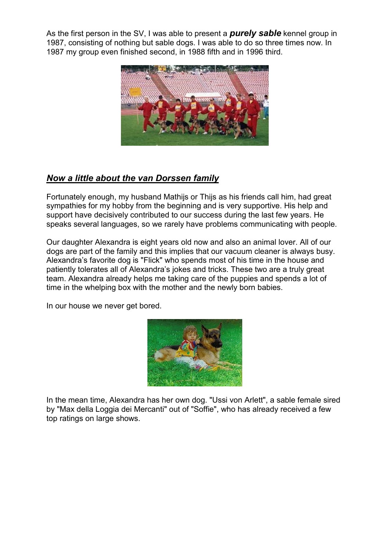As the first person in the SV, I was able to present a *purely sable* kennel group in 1987, consisting of nothing but sable dogs. I was able to do so three times now. In 1987 my group even finished second, in 1988 fifth and in 1996 third.



## *Now a little about the van Dorssen family*

Fortunately enough, my husband Mathijs or Thijs as his friends call him, had great sympathies for my hobby from the beginning and is very supportive. His help and support have decisively contributed to our success during the last few years. He speaks several languages, so we rarely have problems communicating with people.

Our daughter Alexandra is eight years old now and also an animal lover. All of our dogs are part of the family and this implies that our vacuum cleaner is always busy. Alexandra's favorite dog is "Flick" who spends most of his time in the house and patiently tolerates all of Alexandra's jokes and tricks. These two are a truly great team. Alexandra already helps me taking care of the puppies and spends a lot of time in the whelping box with the mother and the newly born babies.

In our house we never get bored.



In the mean time, Alexandra has her own dog. "Ussi von Arlett", a sable female sired by "Max della Loggia dei Mercanti" out of "Soffie", who has already received a few top ratings on large shows.